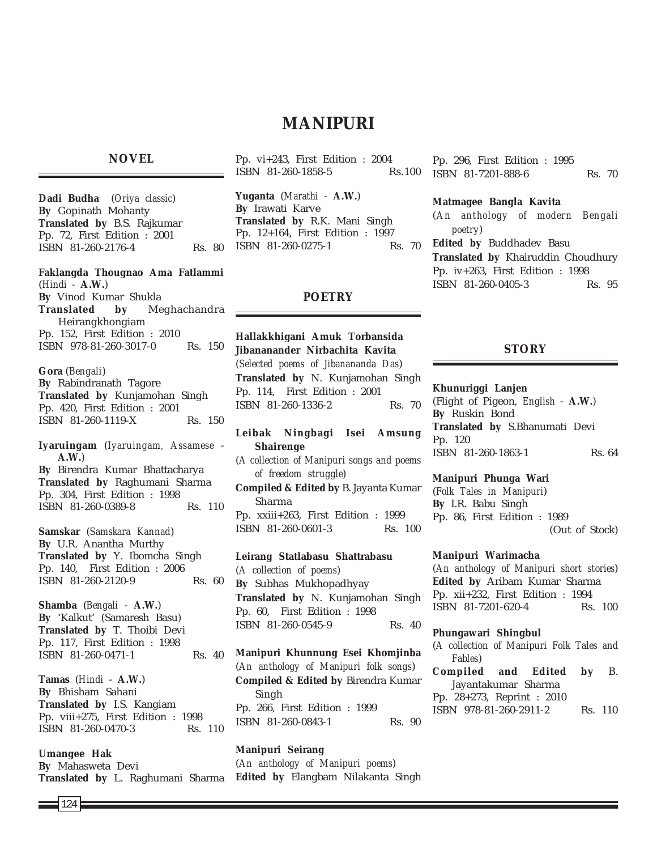# **MANIPURI**

## **NOVEL**

**Dadi Budha** (*Oriya classic*) **By** Gopinath Mohanty **Translated by** B.S. Rajkumar Pp. 72, First Edition : 2001 ISBN 81-260-2176-4 Rs. 80

**Faklangda Thougnao Ama Fatlammi** (*Hindi -* **A.W.**) **By** Vinod Kumar Shukla **Translated by** Meghachandra Heirangkhongiam Pp. 152, First Edition : 2010 ISBN 978-81-260-3017-0 Rs. 150

**Gora** (*Bengali*) **By** Rabindranath Tagore **Translated by** Kunjamohan Singh Pp. 420, First Edition : 2001 ISBN 81-260-1119-X Rs. 150

**Iyaruingam** (*Iyaruingam, Assamese* - **A.W.**) **By** Birendra Kumar Bhattacharya **Translated by** Raghumani Sharma Pp. 304, First Edition : 1998 ISBN 81-260-0389-8 Rs. 110

**Samskar** (*Samskara Kannad*) **By** U.R. Anantha Murthy **Translated by** Y. Ibomcha Singh Pp. 140, First Edition : 2006 ISBN 81-260-2120-9 Rs. 60

**Shamba** (*Bengali* - **A.W.**) **By** 'Kalkut' (Samaresh Basu) **Translated by** T. Thoibi Devi Pp. 117, First Edition : 1998 ISBN 81-260-0471-1 Rs. 40

**Tamas** (*Hindi* - **A.W.**) **By** Bhisham Sahani **Translated by** I.S. Kangiam Pp. viii+275, First Edition : 1998 ISBN 81-260-0470-3 Rs. 110

**Umangee Hak By** Mahasweta Devi **Translated by** L. Raghumani Sharma

Pp. vi+243, First Edition : 2004 ISBN 81-260-1858-5 Rs.100

**Yuganta** (*Marathi* - **A.W.**) **By** Irawati Karve **Translated by** R.K. Mani Singh Pp. 12+164, First Edition : 1997 ISBN 81-260-0275-1 Rs. 70

## **POETRY**

**Hallakkhigani Amuk Torbansida Jibananander Nirbachita Kavita** (*Selected poems of Jibanananda Das*) **Translated by** N. Kunjamohan Singh Pp. 114, First Edition : 2001 ISBN 81-260-1336-2 Rs. 70

**Leibak Ningbagi Isei Amsung Shairenge** (*A collection of Manipuri songs and poems of freedom struggle*) **Compiled & Edited by** B. Jayanta Kumar Sharma Pp. xxiii+263, First Edition : 1999 ISBN 81-260-0601-3 Rs. 100

**Leirang Statlabasu Shattrabasu** (*A collection of poems*) **By** Subhas Mukhopadhyay **Translated by** N. Kunjamohan Singh Pp. 60, First Edition : 1998 ISBN 81-260-0545-9 Rs. 40

**Manipuri Khunnung Esei Khomjinba** (*An anthology of Manipuri folk songs*) **Compiled & Edited by** Birendra Kumar Singh Pp. 266, First Edition : 1999 ISBN 81-260-0843-1 Rs. 90

**Manipuri Seirang** (*An anthology of Manipuri poems*) **Edited by** Elangbam Nilakanta Singh

Pp. 296, First Edition : 1995 ISBN 81-7201-888-6 Rs. 70

#### **Matmagee Bangla Kavita**

(*An anthology of modern Bengali poetry*)

**Edited by** Buddhadev Basu **Translated by** Khairuddin Choudhury Pp. iv+263, First Edition : 1998 ISBN 81-260-0405-3 Rs. 95

## **STORY**

## **Khunuriggi Lanjen**

(Flight of Pigeon, *English* - **A.W.**) **By** Ruskin Bond **Translated by** S.Bhanumati Devi Pp. 120 ISBN 81-260-1863-1 Rs. 64

#### **Manipuri Phunga Wari**

(*Folk Tales in Manipuri*) **By** I.R. Babu Singh Pp. 86, First Edition : 1989 (Out of Stock)

#### **Manipuri Warimacha**

(*An anthology of Manipuri short stories*) **Edited by** Aribam Kumar Sharma Pp. xii+232, First Edition : 1994 ISBN 81-7201-620-4 Rs. 100

#### **Phungawari Shingbul**

(*A collection of Manipuri Folk Tales and Fables*) **Compiled and Edited by** B. Jayantakumar Sharma Pp. 28+273, Reprint : 2010 ISBN 978-81-260-2911-2 Rs. 110

124